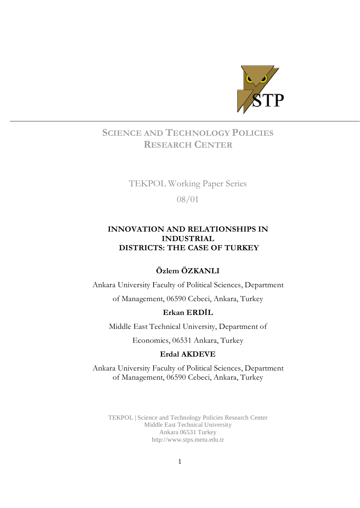

## SCIENCE AND TECHNOLOGY POLICIES RESEARCH CENTER

## TEKPOL Working Paper Series

08/01

## INNOVATION AND RELATIONSHIPS IN INDUSTRIAL DISTRICTS: THE CASE OF TURKEY

## Özlem ÖZKANLI

Ankara University Faculty of Political Sciences, Department of Management, 06590 Cebeci, Ankara, Turkey

## Erkan ERDİL

Middle East Technical University, Department of

Economics, 06531 Ankara, Turkey

## Erdal AKDEVE

Ankara University Faculty of Political Sciences, Department of Management, 06590 Cebeci, Ankara, Turkey

TEKPOL | Science and Technology Policies Research Center Middle East Technical University Ankara 06531 Turkey <http://www.stps.metu.edu.tr>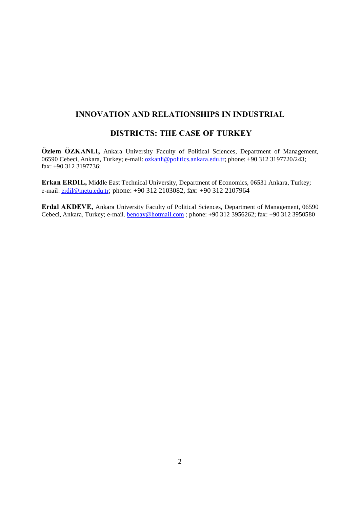## INNOVATION AND RELATIONSHIPS IN INDUSTRIAL

## DISTRICTS: THE CASE OF TURKEY

Özlem ÖZKANLI, Ankara University Faculty of Political Sciences, Department of Management, 06590 Cebeci, Ankara, Turkey; e-mail: <u>ozkanli@politics.ankara.edu.tr</u>; phone: +90 312 3197720/243; fax: +90 312 3197736;

Erkan ERDIL, Middle East Technical University, Department of Economics, 06531 Ankara, Turkey; e-mail: [erdil@metu.edu.tr](mailto:erdil@metu.edu.tr); phone: +90 312 2103082, fax: +90 312 2107964

Erdal AKDEVE, Ankara University Faculty of Political Sciences, Department of Management, 06590 Cebeci, Ankara, Turkey; e-mail. [benoay@hotmail.com](mailto:benoay@hotmail.com) ; phone: +90 312 3956262; fax: +90 312 3950580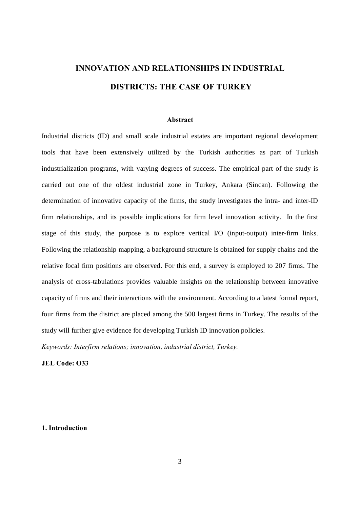# INNOVATION AND RELATIONSHIPS IN INDUSTRIAL DISTRICTS: THE CASE OF TURKEY

#### Abstract

Industrial districts (ID) and small scale industrial estates are important regional development tools that have been extensively utilized by the Turkish authorities as part of Turkish industrialization programs, with varying degrees of success. The empirical part of the study is carried out one of the oldest industrial zone in Turkey, Ankara (Sincan). Following the determination of innovative capacity of the firms, the study investigates the intra- and inter-ID firm relationships, and its possible implications for firm level innovation activity. In the first stage of this study, the purpose is to explore vertical I/O (input-output) inter-firm links. Following the relationship mapping, a background structure is obtained for supply chains and the relative focal firm positions are observed. For this end, a survey is employed to 207 firms. The analysis of cross-tabulations provides valuable insights on the relationship between innovative capacity of firms and their interactions with the environment. According to a latest formal report, four firms from the district are placed among the 500 largest firms in Turkey. The results of the study will further give evidence for developing Turkish ID innovation policies.

Keywords: Interfirm relations; innovation, industrial district, Turkey.

JEL Code: O33

#### 1. Introduction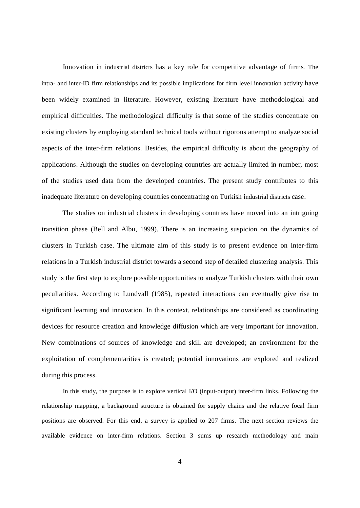Innovation in industrial districts has a key role for competitive advantage of firms. The intra- and inter-ID firm relationships and its possible implications for firm level innovation activity have been widely examined in literature. However, existing literature have methodological and empirical difficulties. The methodological difficulty is that some of the studies concentrate on existing clusters by employing standard technical tools without rigorous attempt to analyze social aspects of the inter-firm relations. Besides, the empirical difficulty is about the geography of applications. Although the studies on developing countries are actually limited in number, most of the studies used data from the developed countries. The present study contributes to this inadequate literature on developing countries concentrating on Turkish industrial districts case.

The studies on industrial clusters in developing countries have moved into an intriguing transition phase (Bell and Albu, 1999). There is an increasing suspicion on the dynamics of clusters in Turkish case. The ultimate aim of this study is to present evidence on inter-firm relations in a Turkish industrial district towards a second step of detailed clustering analysis. This study is the first step to explore possible opportunities to analyze Turkish clusters with their own peculiarities. According to Lundvall (1985), repeated interactions can eventually give rise to significant learning and innovation. In this context, relationships are considered as coordinating devices for resource creation and knowledge diffusion which are very important for innovation. New combinations of sources of knowledge and skill are developed; an environment for the exploitation of complementarities is created; potential innovations are explored and realized during this process.

In this study, the purpose is to explore vertical I/O (input-output) inter-firm links. Following the relationship mapping, a background structure is obtained for supply chains and the relative focal firm positions are observed. For this end, a survey is applied to 207 firms. The next section reviews the available evidence on inter-firm relations. Section 3 sums up research methodology and main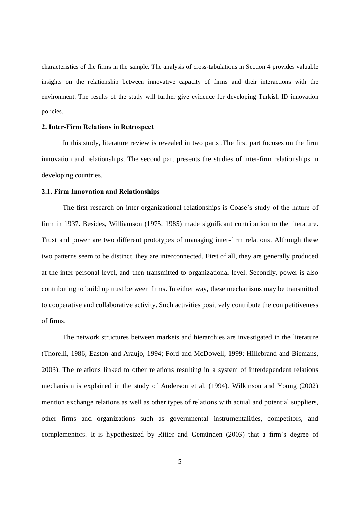characteristics of the firms in the sample. The analysis of cross-tabulations in Section 4 provides valuable insights on the relationship between innovative capacity of firms and their interactions with the environment. The results of the study will further give evidence for developing Turkish ID innovation policies.

#### 2. Inter-Firm Relations in Retrospect

In this study, literature review is revealed in two parts .The first part focuses on the firm innovation and relationships. The second part presents the studies of inter-firm relationships in developing countries.

#### 2.1. Firm Innovation and Relationships

The first research on inter-organizational relationships is Coase's study of the nature of firm in 1937. Besides, Williamson (1975, 1985) made significant contribution to the literature. Trust and power are two different prototypes of managing inter-firm relations. Although these two patterns seem to be distinct, they are interconnected. First of all, they are generally produced at the inter-personal level, and then transmitted to organizational level. Secondly, power is also contributing to build up trust between firms. In either way, these mechanisms may be transmitted to cooperative and collaborative activity. Such activities positively contribute the competitiveness of firms.

The network structures between markets and hierarchies are investigated in the literature (Thorelli, 1986; Easton and Araujo, 1994; Ford and McDowell, 1999; Hillebrand and Biemans, 2003). The relations linked to other relations resulting in a system of interdependent relations mechanism is explained in the study of Anderson et al. (1994). Wilkinson and Young (2002) mention exchange relations as well as other types of relations with actual and potential suppliers, other firms and organizations such as governmental instrumentalities, competitors, and complementors. It is hypothesized by Ritter and Gemünden (2003) that a firm's degree of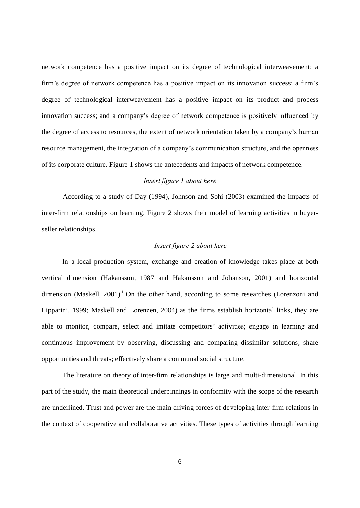network competence has a positive impact on its degree of technological interweavement; a firm's degree of network competence has a positive impact on its innovation success; a firm's degree of technological interweavement has a positive impact on its product and process innovation success; and a company's degree of network competence is positively influenced by the degree of access to resources, the extent of network orientation taken by a company's human resource management, the integration of a company's communication structure, and the openness of its corporate culture. Figure 1 shows the antecedents and impacts of network competence.

#### Insert figure 1 about here

According to a study of Day (1994), Johnson and Sohi (2003) examined the impacts of inter-firm relationships on learning. Figure 2 shows their model of learning activities in buyerseller relationships.

#### Insert figure 2 about here

In a local production system, exchange and creation of knowledge takes place at both vertical dimension (Hakansson, 1987 and Hakansson and Johanson, 2001) and horizontal dimension (Maskell, 2001).<sup>i</sup> On the other hand, according to some researches (Lorenzoni and Lipparini, 1999; Maskell and Lorenzen, 2004) as the firms establish horizontal links, they are able to monitor, compare, select and imitate competitors' activities; engage in learning and continuous improvement by observing, discussing and comparing dissimilar solutions; share opportunities and threats; effectively share a communal social structure.

The literature on theory of inter-firm relationships is large and multi-dimensional. In this part of the study, the main theoretical underpinnings in conformity with the scope of the research are underlined. Trust and power are the main driving forces of developing inter-firm relations in the context of cooperative and collaborative activities. These types of activities through learning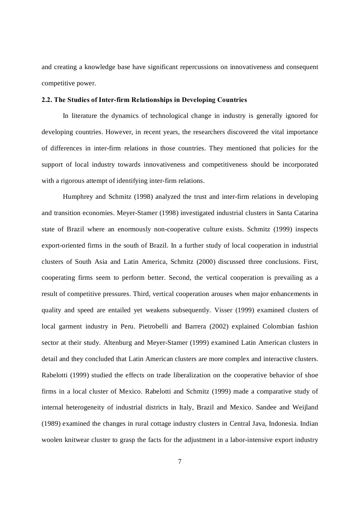and creating a knowledge base have significant repercussions on innovativeness and consequent competitive power.

#### 2.2. The Studies of Inter-firm Relationships in Developing Countries

In literature the dynamics of technological change in industry is generally ignored for developing countries. However, in recent years, the researchers discovered the vital importance of differences in inter-firm relations in those countries. They mentioned that policies for the support of local industry towards innovativeness and competitiveness should be incorporated with a rigorous attempt of identifying inter-firm relations.

Humphrey and Schmitz (1998) analyzed the trust and inter-firm relations in developing and transition economies. Meyer-Stamer (1998) investigated industrial clusters in Santa Catarina state of Brazil where an enormously non-cooperative culture exists. Schmitz (1999) inspects export-oriented firms in the south of Brazil. In a further study of local cooperation in industrial clusters of South Asia and Latin America, Schmitz (2000) discussed three conclusions. First, cooperating firms seem to perform better. Second, the vertical cooperation is prevailing as a result of competitive pressures. Third, vertical cooperation arouses when major enhancements in quality and speed are entailed yet weakens subsequently. Visser (1999) examined clusters of local garment industry in Peru. Pietrobelli and Barrera (2002) explained Colombian fashion sector at their study. Altenburg and Meyer-Stamer (1999) examined Latin American clusters in detail and they concluded that Latin American clusters are more complex and interactive clusters. Rabelotti (1999) studied the effects on trade liberalization on the cooperative behavior of shoe firms in a local cluster of Mexico. Rabelotti and Schmitz (1999) made a comparative study of internal heterogeneity of industrial districts in Italy, Brazil and Mexico. Sandee and Weijland (1989) examined the changes in rural cottage industry clusters in Central Java, Indonesia. Indian woolen knitwear cluster to grasp the facts for the adjustment in a labor-intensive export industry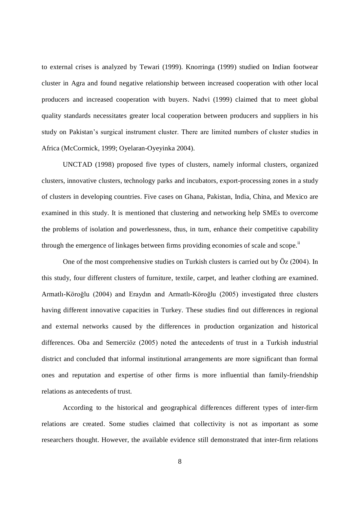to external crises is analyzed by Tewari (1999). Knorringa (1999) studied on Indian footwear cluster in Agra and found negative relationship between increased cooperation with other local producers and increased cooperation with buyers. Nadvi (1999) claimed that to meet global quality standards necessitates greater local cooperation between producers and suppliers in his study on Pakistan's surgical instrument cluster. There are limited numbers of cluster studies in Africa (McCormick, 1999; Oyelaran-Oyeyinka 2004).

UNCTAD (1998) proposed five types of clusters, namely informal clusters, organized clusters, innovative clusters, technology parks and incubators, export-processing zones in a study of clusters in developing countries. Five cases on Ghana, Pakistan, India, China, and Mexico are examined in this study. It is mentioned that clustering and networking help SMEs to overcome the problems of isolation and powerlessness, thus, in turn, enhance their competitive capability through the emergence of linkages between firms providing economies of scale and scope.<sup>ii</sup>

One of the most comprehensive studies on Turkish clusters is carried out by  $\ddot{O}z$  (2004). In this study, four different clusters of furniture, textile, carpet, and leather clothing are examined. Armatlı-Köroğlu (2004) and Eraydın and Armatlı-Köroğlu (2005) investigated three clusters having different innovative capacities in Turkey. These studies find out differences in regional and external networks caused by the differences in production organization and historical differences. Oba and Semerciöz (2005) noted the antecedents of trust in a Turkish industrial district and concluded that informal institutional arrangements are more significant than formal ones and reputation and expertise of other firms is more influential than family-friendship relations as antecedents of trust.

According to the historical and geographical differences different types of inter-firm relations are created. Some studies claimed that collectivity is not as important as some researchers thought. However, the available evidence still demonstrated that inter-firm relations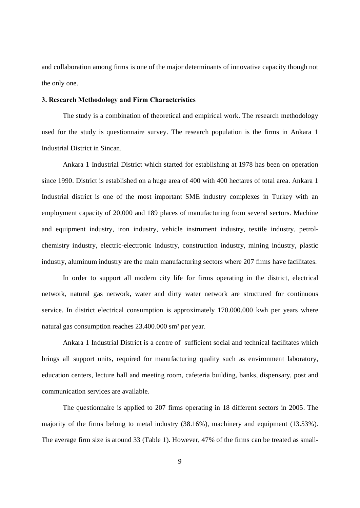and collaboration among firms is one of the major determinants of innovative capacity though not the only one.

#### 3. Research Methodology and Firm Characteristics

The study is a combination of theoretical and empirical work. The research methodology used for the study is questionnaire survey. The research population is the firms in Ankara 1 Industrial District in Sincan.

Ankara 1 Industrial District which started for establishing at 1978 has been on operation since 1990. District is established on a huge area of 400 with 400 hectares of total area. Ankara 1 Industrial district is one of the most important SME industry complexes in Turkey with an employment capacity of 20,000 and 189 places of manufacturing from several sectors. Machine and equipment industry, iron industry, vehicle instrument industry, textile industry, petrolchemistry industry, electric-electronic industry, construction industry, mining industry, plastic industry, aluminum industry are the main manufacturing sectors where 207 firms have facilitates.

In order to support all modern city life for firms operating in the district, electrical network, natural gas network, water and dirty water network are structured for continuous service. In district electrical consumption is approximately 170.000.000 kwh per years where natural gas consumption reaches  $23.400.000$  sm<sup>3</sup> per year.

Ankara 1 Industrial District is a centre of sufficient social and technical facilitates which brings all support units, required for manufacturing quality such as environment laboratory, education centers, lecture hall and meeting room, cafeteria building, banks, dispensary, post and communication services are available.

The questionnaire is applied to 207 firms operating in 18 different sectors in 2005. The majority of the firms belong to metal industry (38.16%), machinery and equipment (13.53%). The average firm size is around 33 (Table 1). However, 47% of the firms can be treated as small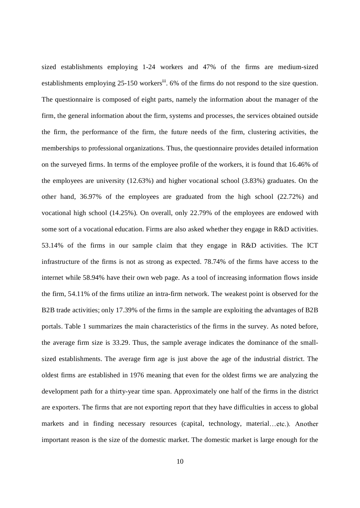sized establishments employing 1-24 workers and 47% of the firms are medium-sized establishments employing 25-150 workers<sup>iii</sup>. 6% of the firms do not respond to the size question. The questionnaire is composed of eight parts, namely the information about the manager of the firm, the general information about the firm, systems and processes, the services obtained outside the firm, the performance of the firm, the future needs of the firm, clustering activities, the memberships to professional organizations. Thus, the questionnaire provides detailed information on the surveyed firms. In terms of the employee profile of the workers, it is found that 16.46% of the employees are university (12.63%) and higher vocational school (3.83%) graduates. On the other hand, 36.97% of the employees are graduated from the high school (22.72%) and vocational high school (14.25%). On overall, only 22.79% of the employees are endowed with some sort of a vocational education. Firms are also asked whether they engage in R&D activities. 53.14% of the firms in our sample claim that they engage in R&D activities. The ICT infrastructure of the firms is not as strong as expected. 78.74% of the firms have access to the internet while 58.94% have their own web page. As a tool of increasing information flows inside the firm, 54.11% of the firms utilize an intra-firm network. The weakest point is observed for the B2B trade activities; only 17.39% of the firms in the sample are exploiting the advantages of B2B portals. Table 1 summarizes the main characteristics of the firms in the survey. As noted before, the average firm size is 33.29. Thus, the sample average indicates the dominance of the smallsized establishments. The average firm age is just above the age of the industrial district. The oldest firms are established in 1976 meaning that even for the oldest firms we are analyzing the development path for a thirty-year time span. Approximately one half of the firms in the district are exporters. The firms that are not exporting report that they have difficulties in access to global markets and in finding necessary resources (capital, technology, material...etc.). Another important reason is the size of the domestic market. The domestic market is large enough for the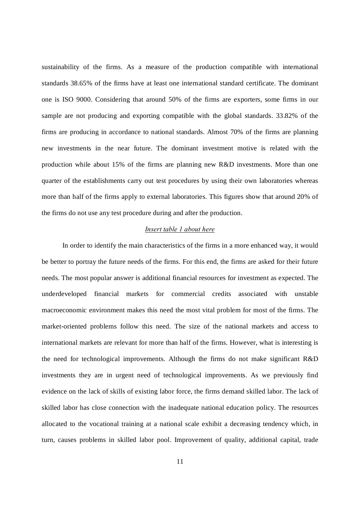sustainability of the firms. As a measure of the production compatible with international standards 38.65% of the firms have at least one international standard certificate. The dominant one is ISO 9000. Considering that around 50% of the firms are exporters, some firms in our sample are not producing and exporting compatible with the global standards. 33.82% of the firms are producing in accordance to national standards. Almost 70% of the firms are planning new investments in the near future. The dominant investment motive is related with the production while about 15% of the firms are planning new R&D investments. More than one quarter of the establishments carry out test procedures by using their own laboratories whereas more than half of the firms apply to external laboratories. This figures show that around 20% of the firms do not use any test procedure during and after the production.

#### Insert table 1 about here

In order to identify the main characteristics of the firms in a more enhanced way, it would be better to portray the future needs of the firms. For this end, the firms are asked for their future needs. The most popular answer is additional financial resources for investment as expected. The underdeveloped financial markets for commercial credits associated with unstable macroeconomic environment makes this need the most vital problem for most of the firms. The market-oriented problems follow this need. The size of the national markets and access to international markets are relevant for more than half of the firms. However, what is interesting is the need for technological improvements. Although the firms do not make significant R&D investments they are in urgent need of technological improvements. As we previously find evidence on the lack of skills of existing labor force, the firms demand skilled labor. The lack of skilled labor has close connection with the inadequate national education policy. The resources allocated to the vocational training at a national scale exhibit a decreasing tendency which, in turn, causes problems in skilled labor pool. Improvement of quality, additional capital, trade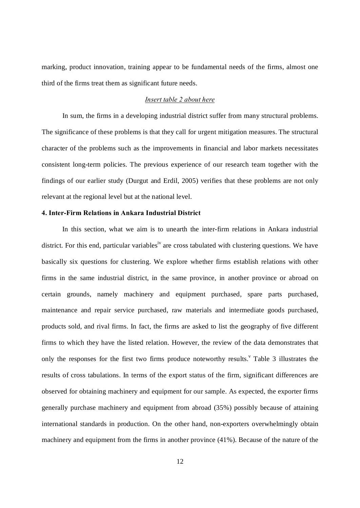marking, product innovation, training appear to be fundamental needs of the firms, almost one third of the firms treat them as significant future needs.

#### Insert table 2 about here

In sum, the firms in a developing industrial district suffer from many structural problems. The significance of these problems is that they call for urgent mitigation measures. The structural character of the problems such as the improvements in financial and labor markets necessitates consistent long-term policies. The previous experience of our research team together with the findings of our earlier study (Durgut and Erdil, 2005) verifies that these problems are not only relevant at the regional level but at the national level.

#### 4. Inter-Firm Relations in Ankara Industrial District

In this section, what we aim is to unearth the inter-firm relations in Ankara industrial district. For this end, particular variables<sup>iv</sup> are cross tabulated with clustering questions. We have basically six questions for clustering. We explore whether firms establish relations with other firms in the same industrial district, in the same province, in another province or abroad on certain grounds, namely machinery and equipment purchased, spare parts purchased, maintenance and repair service purchased, raw materials and intermediate goods purchased, products sold, and rival firms. In fact, the firms are asked to list the geography of five different firms to which they have the listed relation. However, the review of the data demonstrates that only the responses for the first two firms produce noteworthy results.<sup> $v$ </sup> Table 3 illustrates the results of cross tabulations. In terms of the export status of the firm, significant differences are observed for obtaining machinery and equipment for our sample. As expected, the exporter firms generally purchase machinery and equipment from abroad (35%) possibly because of attaining international standards in production. On the other hand, non-exporters overwhelmingly obtain machinery and equipment from the firms in another province (41%). Because of the nature of the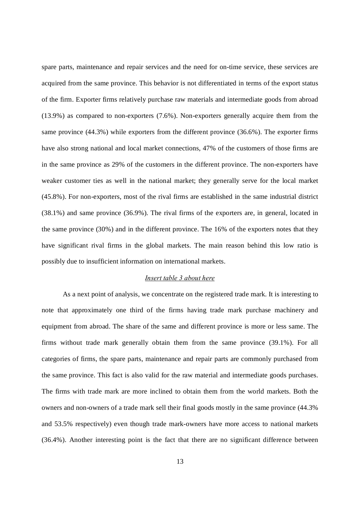spare parts, maintenance and repair services and the need for on-time service, these services are acquired from the same province. This behavior is not differentiated in terms of the export status of the firm. Exporter firms relatively purchase raw materials and intermediate goods from abroad (13.9%) as compared to non-exporters (7.6%). Non-exporters generally acquire them from the same province (44.3%) while exporters from the different province (36.6%). The exporter firms have also strong national and local market connections, 47% of the customers of those firms are in the same province as 29% of the customers in the different province. The non-exporters have weaker customer ties as well in the national market; they generally serve for the local market (45.8%). For non-exporters, most of the rival firms are established in the same industrial district (38.1%) and same province (36.9%). The rival firms of the exporters are, in general, located in the same province (30%) and in the different province. The 16% of the exporters notes that they have significant rival firms in the global markets. The main reason behind this low ratio is possibly due to insufficient information on international markets.

#### Insert table 3 about here

As a next point of analysis, we concentrate on the registered trade mark. It is interesting to note that approximately one third of the firms having trade mark purchase machinery and equipment from abroad. The share of the same and different province is more or less same. The firms without trade mark generally obtain them from the same province (39.1%). For all categories of firms, the spare parts, maintenance and repair parts are commonly purchased from the same province. This fact is also valid for the raw material and intermediate goods purchases. The firms with trade mark are more inclined to obtain them from the world markets. Both the owners and non-owners of a trade mark sell their final goods mostly in the same province (44.3% and 53.5% respectively) even though trade mark-owners have more access to national markets (36.4%). Another interesting point is the fact that there are no significant difference between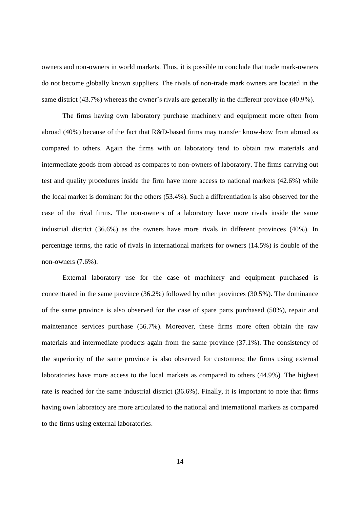owners and non-owners in world markets. Thus, it is possible to conclude that trade mark-owners do not become globally known suppliers. The rivals of non-trade mark owners are located in the same district  $(43.7%)$  whereas the owner's rivals are generally in the different province  $(40.9%)$ .

The firms having own laboratory purchase machinery and equipment more often from abroad (40%) because of the fact that R&D-based firms may transfer know-how from abroad as compared to others. Again the firms with on laboratory tend to obtain raw materials and intermediate goods from abroad as compares to non-owners of laboratory. The firms carrying out test and quality procedures inside the firm have more access to national markets (42.6%) while the local market is dominant for the others (53.4%). Such a differentiation is also observed for the case of the rival firms. The non-owners of a laboratory have more rivals inside the same industrial district (36.6%) as the owners have more rivals in different provinces (40%). In percentage terms, the ratio of rivals in international markets for owners (14.5%) is double of the non-owners (7.6%).

External laboratory use for the case of machinery and equipment purchased is concentrated in the same province (36.2%) followed by other provinces (30.5%). The dominance of the same province is also observed for the case of spare parts purchased (50%), repair and maintenance services purchase (56.7%). Moreover, these firms more often obtain the raw materials and intermediate products again from the same province (37.1%). The consistency of the superiority of the same province is also observed for customers; the firms using external laboratories have more access to the local markets as compared to others (44.9%). The highest rate is reached for the same industrial district (36.6%). Finally, it is important to note that firms having own laboratory are more articulated to the national and international markets as compared to the firms using external laboratories.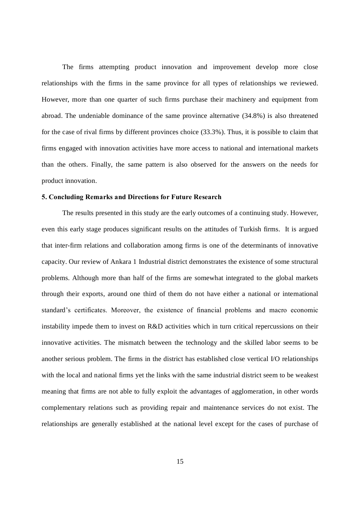The firms attempting product innovation and improvement develop more close relationships with the firms in the same province for all types of relationships we reviewed. However, more than one quarter of such firms purchase their machinery and equipment from abroad. The undeniable dominance of the same province alternative (34.8%) is also threatened for the case of rival firms by different provinces choice (33.3%). Thus, it is possible to claim that firms engaged with innovation activities have more access to national and international markets than the others. Finally, the same pattern is also observed for the answers on the needs for product innovation.

#### 5. Concluding Remarks and Directions for Future Research

The results presented in this study are the early outcomes of a continuing study. However, even this early stage produces significant results on the attitudes of Turkish firms. It is argued that inter-firm relations and collaboration among firms is one of the determinants of innovative capacity. Our review of Ankara 1 Industrial district demonstrates the existence of some structural problems. Although more than half of the firms are somewhat integrated to the global markets through their exports, around one third of them do not have either a national or international standard's certificates. Moreover, the existence of financial problems and macro economic instability impede them to invest on R&D activities which in turn critical repercussions on their innovative activities. The mismatch between the technology and the skilled labor seems to be another serious problem. The firms in the district has established close vertical I/O relationships with the local and national firms yet the links with the same industrial district seem to be weakest meaning that firms are not able to fully exploit the advantages of agglomeration, in other words complementary relations such as providing repair and maintenance services do not exist. The relationships are generally established at the national level except for the cases of purchase of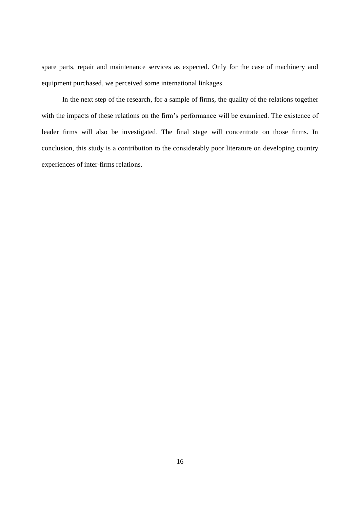spare parts, repair and maintenance services as expected. Only for the case of machinery and equipment purchased, we perceived some international linkages.

In the next step of the research, for a sample of firms, the quality of the relations together with the impacts of these relations on the firm's performance will be examined. The existence of leader firms will also be investigated. The final stage will concentrate on those firms. In conclusion, this study is a contribution to the considerably poor literature on developing country experiences of inter-firms relations.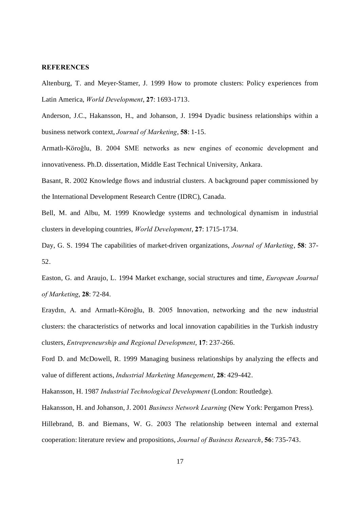#### **REFERENCES**

Altenburg, T. and Meyer-Stamer, J. 1999 How to promote clusters: Policy experiences from Latin America, World Development, 27: 1693-1713.

Anderson, J.C., Hakansson, H., and Johanson, J. 1994 Dyadic business relationships within a business network context, Journal of Marketing, 58: 1-15.

Armatlı-Köroğlu, B. 2004 SME networks as new engines of economic development and innovativeness. Ph.D. dissertation, Middle East Technical University, Ankara.

Basant, R. 2002 Knowledge flows and industrial clusters. A background paper commissioned by the International Development Research Centre (IDRC), Canada.

Bell, M. and Albu, M. 1999 Knowledge systems and technological dynamism in industrial clusters in developing countries, World Development, 27: 1715-1734.

Day, G. S. 1994 The capabilities of market-driven organizations, *Journal of Marketing*, 58: 37-52.

Easton, G. and Araujo, L. 1994 Market exchange, social structures and time, European Journal of Marketing, 28: 72-84.

Eraydın, A. and Armatlı-Köroğlu, B. 2005 Innovation, networking and the new industrial clusters: the characteristics of networks and local innovation capabilities in the Turkish industry clusters, Entrepreneurship and Regional Development, 17: 237-266.

Ford D. and McDowell, R. 1999 Managing business relationships by analyzing the effects and value of different actions, Industrial Marketing Manegement, 28: 429-442.

Hakansson, H. 1987 Industrial Technological Development (London: Routledge).

Hakansson, H. and Johanson, J. 2001 Business Network Learning (New York: Pergamon Press). Hillebrand, B. and Biemans, W. G. 2003 The relationship between internal and external cooperation: literature review and propositions, Journal of Business Research, 56: 735-743.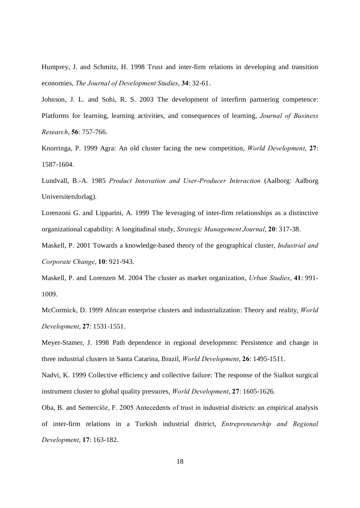Humprey, J. and Schmitz, H. 1998 Trust and inter-firm relations in developing and transition economies, The Journal of Development Studies, 34: 32-61.

Johnson, J. L. and Sohi, R. S. 2003 The development of interfirm partnering competence: Platforms for learning, learning activities, and consequences of learning, Journal of Business Research, 56: 757-766.

Knorringa, P. 1999 Agra: An old cluster facing the new competition, World Development, 27: 1587-1604.

Lundvall, B.-A. 1985 Product Innovation and User-Producer Interaction (Aalborg: Aalborg Universitetsforlag).

Lorenzoni G. and Lipparini, A. 1999 The leveraging of inter-firm relationships as a distinctive organizational capability: A longitudinal study, Strategic Management Journal, 20: 317-38.

Maskell, P. 2001 Towards a knowledge-based theory of the geographical cluster, *Industrial and* Corporate Change, 10: 921-943.

Maskell, P. and Lorenzen M. 2004 The cluster as market organization, Urban Studies, 41: 991- 1009.

McCormick, D. 1999 African enterprise clusters and industrialization: Theory and reality, World Development, 27: 1531-1551.

Meyer-Stamer, J. 1998 Path dependence in regional development: Persistence and change in three industrial clusters in Santa Catarina, Brazil, World Development, 26: 1495-1511.

Nadvi, K. 1999 Collective efficiency and collective failure: The response of the Sialkot surgical instrument cluster to global quality pressures, World Development, 27: 1605-1626.

Oba, B. and Semerciöz, F. 2005 Antecedents of trust in industrial districts: an empirical analysis of inter-firm relations in a Turkish industrial district, Entrepreneurship and Regional Development, 17: 163-182.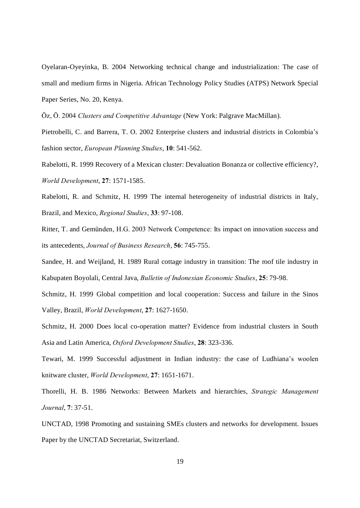Oyelaran-Oyeyinka, B. 2004 Networking technical change and industrialization: The case of small and medium firms in Nigeria. African Technology Policy Studies (ATPS) Network Special Paper Series, No. 20, Kenya.

Öz, Ö. 2004 Clusters and Competitive Advantage (New York: Palgrave MacMillan).

Pietrobelli, C. and Barrera, T. O. 2002 Enterprise clusters and industrial districts in Colombiaís fashion sector, European Planning Studies, 10: 541-562.

Rabelotti, R. 1999 Recovery of a Mexican cluster: Devaluation Bonanza or collective efficiency?, World Development, 27: 1571-1585.

Rabelotti, R. and Schmitz, H. 1999 The internal heterogeneity of industrial districts in Italy, Brazil, and Mexico, Regional Studies, 33: 97-108.

Ritter, T. and Gemünden, H.G. 2003 Network Competence: Its impact on innovation success and its antecedents, Journal of Business Research, 56: 745-755.

Sandee, H. and Weijland, H. 1989 Rural cottage industry in transition: The roof tile industry in Kabupaten Boyolali, Central Java, Bulletin of Indonesian Economic Studies, 25: 79-98.

Schmitz, H. 1999 Global competition and local cooperation: Success and failure in the Sinos Valley, Brazil, World Development, 27: 1627-1650.

Schmitz, H. 2000 Does local co-operation matter? Evidence from industrial clusters in South Asia and Latin America, Oxford Development Studies, 28: 323-336.

Tewari, M. 1999 Successful adjustment in Indian industry: the case of Ludhiana's woolen knitware cluster, World Development, 27: 1651-1671.

Thorelli, H. B. 1986 Networks: Between Markets and hierarchies, Strategic Management Journal, 7: 37-51.

UNCTAD, 1998 Promoting and sustaining SMEs clusters and networks for development. Issues Paper by the UNCTAD Secretariat, Switzerland.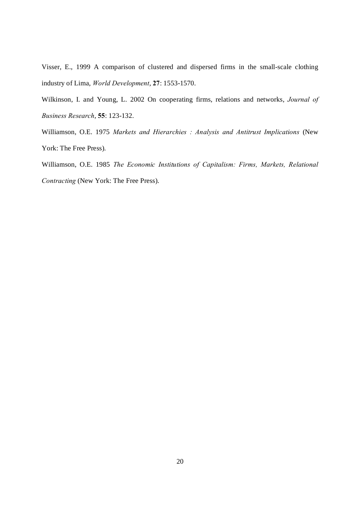Visser, E., 1999 A comparison of clustered and dispersed firms in the small-scale clothing industry of Lima, World Development, 27: 1553-1570.

Wilkinson, I. and Young, L. 2002 On cooperating firms, relations and networks, Journal of Business Research, 55: 123-132.

Williamson, O.E. 1975 Markets and Hierarchies : Analysis and Antitrust Implications (New York: The Free Press).

Williamson, O.E. 1985 The Economic Institutions of Capitalism: Firms, Markets, Relational Contracting (New York: The Free Press).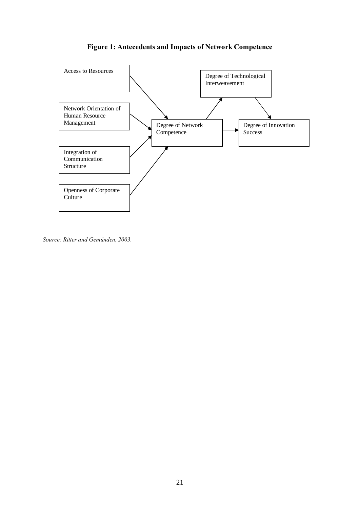

## Figure 1: Antecedents and Impacts of Network Competence

Source: Ritter and Gemünden, 2003.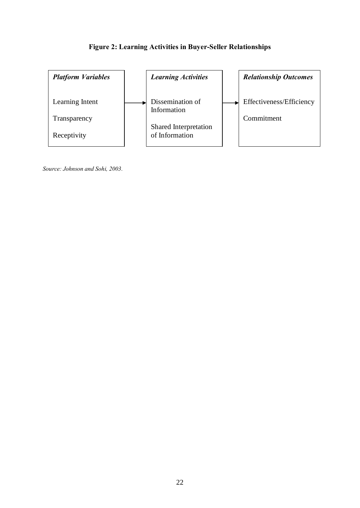

## Figure 2: Learning Activities in Buyer-Seller Relationships

Source: Johnson and Sohi, 2003.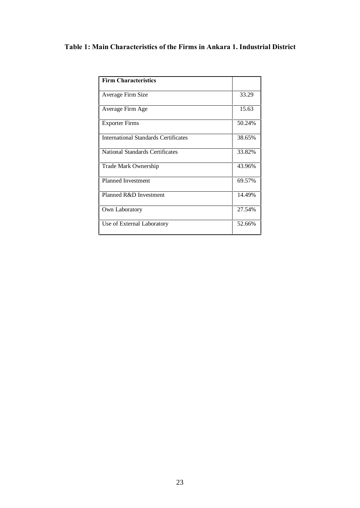## Table 1: Main Characteristics of the Firms in Ankara 1. Industrial District

| <b>Firm Characteristics</b>                 |        |
|---------------------------------------------|--------|
| Average Firm Size                           | 33.29  |
| Average Firm Age                            | 15.63  |
| <b>Exporter Firms</b>                       | 50.24% |
| <b>International Standards Certificates</b> | 38.65% |
| <b>National Standards Certificates</b>      | 33.82% |
| Trade Mark Ownership                        | 43.96% |
| <b>Planned Investment</b>                   | 69.57% |
| Planned R&D Investment                      | 14.49% |
| Own Laboratory                              | 27.54% |
| Use of External Laboratory                  | 52.66% |
|                                             |        |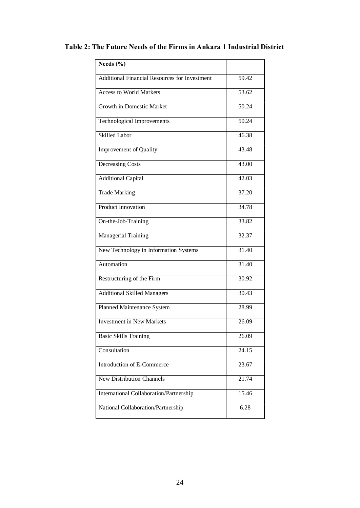| Needs $(\% )$                                        |                    |
|------------------------------------------------------|--------------------|
| <b>Additional Financial Resources for Investment</b> | 59.42              |
| <b>Access to World Markets</b>                       | 53.62              |
| Growth in Domestic Market                            | 50.24              |
| Technological Improvements                           | 50.24              |
| <b>Skilled Labor</b>                                 | $46.\overline{38}$ |
| Improvement of Quality                               | 43.48              |
| <b>Decreasing Costs</b>                              | 43.00              |
| <b>Additional Capital</b>                            | 42.03              |
| <b>Trade Marking</b>                                 | 37.20              |
| <b>Product Innovation</b>                            | 34.78              |
| On-the-Job-Training                                  | 33.82              |
| <b>Managerial Training</b>                           | 32.37              |
| New Technology in Information Systems                | 31.40              |
| Automation                                           | 31.40              |
| Restructuring of the Firm                            | 30.92              |
| <b>Additional Skilled Managers</b>                   | 30.43              |
| Planned Maintenance System                           | 28.99              |
| <b>Investment in New Markets</b>                     | 26.09              |
| <b>Basic Skills Training</b>                         | 26.09              |
| Consultation                                         | 24.15              |
| Introduction of E-Commerce                           | 23.67              |
| New Distribution Channels                            | 21.74              |
| International Collaboration/Partnership              | 15.46              |
| National Collaboration/Partnership                   | 6.28               |

## Table 2: The Future Needs of the Firms in Ankara 1 Industrial District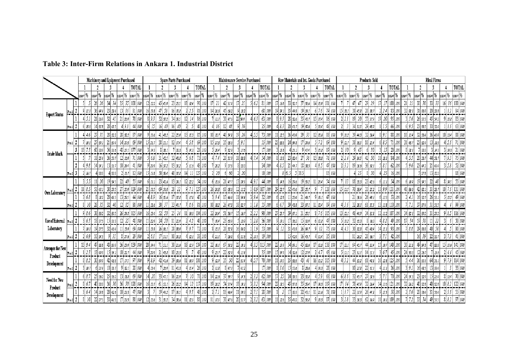|                                        |          | Machinery and Equipment Purchased |          |             |                |      |                            | Spare Parts Purchased |                |            |                   |                |                        | Maintenance Service Purchased |             |                   |                 |               | Raw Materials and Int. Goods Purchased |             |                     |             |                |          | <b>Products Sold</b> |                      |                 |                         |                |                         | <b>Rival Firms</b>         |                       |              |  |  |
|----------------------------------------|----------|-----------------------------------|----------|-------------|----------------|------|----------------------------|-----------------------|----------------|------------|-------------------|----------------|------------------------|-------------------------------|-------------|-------------------|-----------------|---------------|----------------------------------------|-------------|---------------------|-------------|----------------|----------|----------------------|----------------------|-----------------|-------------------------|----------------|-------------------------|----------------------------|-----------------------|--------------|--|--|
|                                        |          |                                   |          |             |                |      | TOTAL                      |                       |                |            |                   |                | TOTAL                  |                               |             |                   |                 | TOTAL         |                                        |             | 3                   |             | TOTAL          |          | 2                    |                      |                 | TOTAL                   |                |                         | 3                          |                       | <b>TOTAL</b> |  |  |
|                                        |          |                                   | coann1%  | count %     | coart %        |      | court %<br>$ $ ccant $ $ % |                       | coan1%         | count %    | coan1%            | count %        | count %                | coan¶%                        | count %     |                   | count % count % | coaπ %        | couvr %                                | count %     | couvri %            | count %     | coan1%         | coan1%   | count %              | couvri <sup>96</sup> | court %         | coart %                 | $\text{const}$ | count %                 | count %                    | coaver <sup>1</sup> % | count %      |  |  |
| <b>Export Status</b>                   |          |                                   |          | 26          | 34             | 34   | 351                        | 100 100               | $12 \mid 12.2$ | 45 45.9    | 23   235          | $18 \mid 18.4$ | 98 100                 | -21                           | 42<br>51,9  | 21                | - 51 6.2        | 81 100        | 17   768                               | 33 32 3     | $37 \,   \, 36.6$   | 14          | 139 101 100    |          | 47<br>47             | 29<br>29             | 17 <sup>1</sup> | 100 <sup>1</sup><br>100 | 21<br>21       | 30<br>30                | 33 33                      | 16                    | 100   101    |  |  |
|                                        |          |                                   | 9 111    | 36          |                |      |                            |                       | 161            |            |                   |                |                        |                               |             | 9 132             |                 | 68 100        |                                        | 35<br>44.S  |                     |             | 79             |          | 45. B                | $28$ 33              |                 |                         | 32             | 36. P                   |                            |                       |              |  |  |
|                                        |          |                                   | 415.1    | $21$ $269$  | 32             |      | 78<br>21   269             | 100                   | 93             | 32 37.2    | 34<br>39.5        |                | 86<br>10               | 11.1                          | 30<br>47.6  | $22$ 34.9         | -41 6.3         | 63   100      | 819.3                                  | $28$ 32.6   | 35   40.7           | 15<br>17.4  | 86             |          | 20                   |                      |                 | 95                      |                | 26<br>31.3              | l 54.2                     | 20. B                 |              |  |  |
|                                        |          |                                   | 13.6     | 14 31 8     | 20   45.5      |      | 44<br>419                  |                       |                |            |                   |                | 10                     |                               |             | 36                |                 | 25 100        | 183                                    | 20   413    | $19$ 39.6           |             | 48             |          | 51.S                 | 29 439 1             |                 |                         |                | 36.5                    |                            |                       |              |  |  |
| Trade Mark                             |          |                                   |          |             | $28 \mid 32.2$ |      | $28 \mid 32.2$<br>87       | 100                   | 9 10.6         |            | 22   25.9         |                | 10                     |                               |             | 26<br>19          |                 | 73 100        | 12.5                                   | 36 40.9     | 33                  | 13.6        | 88             | 9 10.2   | 39<br>44.3           | 32   364             | 8   9.1         | 88                      | 11.4           | 32<br>36.4              | 36   40.9                  | 11.4                  | 88 100       |  |  |
|                                        | Firm 1   |                                   | 71 m.e   | -27'<br>39. | 21 30.4        |      | 14 20.3                    | 69 100                | $15 \,   217$  | 38 55.     | 12 17.4           | 5,8            | 69<br>100              | 15 27.3                       | 35<br>63.6  | 5 9.1             |                 | 55 100        | 23 33 3 1                              | 24 34.8     | 17124.6             |             | 69 100         | 9 127    | 38<br>53.5           | 18   25.4            | 68.5            |                         | 31   437       | 23 324                  | $13 \mid \textit{18} \mid$ | 5.6                   |              |  |  |
|                                        |          |                                   |          |             |                |      |                            |                       | 14.3           | 38.        | l 33.3            | 14.3 I         |                        |                               |             | 31 <i>11.</i> 6   |                 | 17/100        | 3 15.8                                 | 22          |                     |             | 19             |          |                      |                      |                 |                         |                | 33.3                    |                            | 14.3                  |              |  |  |
|                                        |          |                                   |          | 25.4        | 36 50.3        |      | $12$ 16.9                  | 100                   | 6,8            | 31<br>42.3 | 32   438          | 6,8            | 73<br>100              |                               | 28          | 18 33.3           |                 | 54 100        | 8 113                                  | 23   324    | 38                  |             |                | 2124     | 29<br>34.5           | 50                   | 13.             | 84                      | 53             | 20 <sub>l</sub><br>26.7 | 44 58.                     |                       |              |  |  |
|                                        |          |                                   |          | 14 ж.       | 13   317       |      | $10 \, \mu$<br>41          | 100                   | 9 20.9         | 16 37.2    | 13 30.2           | 11.6           | 43 100                 | 29.2                          | 9 37.       | 8 33.3            |                 | 24 100        | 4 8.5                                  | 21<br>44.7  | $18 \, 38.3$        | 85          | 47 100         |          | 30.6                 | $36 \vert$ 58.7      | 8.1             | 62<br>100               | 519.6          | 23 44.2                 | 21   40.4                  | 5.8                   |              |  |  |
|                                        |          |                                   | 21 16 1  |             | 33.3           | 33.3 | 21167                      | 10                    | 11.8           | 50 39.4    | 481<br>37.8       |                | 10                     |                               | 61          | 20                |                 | 10 100        |                                        | 8 61.5      | 5 38.2              |             | 13 100         |          |                      | 50                   | 25              |                         |                | 5278                    | 13   72.2                  |                       |              |  |  |
| Own Laboratory                         |          |                                   | 3 5.5    |             | 19 M.S         |      |                            | 55   100              | 11.1           | 23 42.6    | 13 24.1           | 22.2           | 54<br>  100            | 13,6                          | 41.1        | $13 \mid 29.5$    | 41 9.           | 44 100        | 8   14.8                               | 29.6        | 19135.2             |             | 54 100         |          | 18 33.3              | 23   42.6            | $6 $ $\mu$ .    | 54                      | 6   10.9       | 19 M.S                  |                            | 14.5                  | 55 10        |  |  |
|                                        | Firm     |                                   | 11   8.5 |             | 38 29.5        |      | 129                        |                       | Χî             | 69<br>54.  | 28                |                | 127<br>100             | 24.3                          | 68<br>63.6  | 12                | -0.9            |               | $29 \mid 22.7$                         | 521<br>40.6 | $38 \mid 29.5$      |             | 128            |          | 53.4                 | 33 25.2              | 9.9             |                         | $-48$ 36.6     | 42<br>32.7              | 31   23.7                  |                       |              |  |  |
|                                        |          |                                   | 3 68     | $8\,$ 18.2  | 20             | 45.5 | 13   29.5  <br>44          | 100                   |                | 16135.6    | 17   37.8         | $17.8$         | 45<br>10               | 319.4                         | 15 46.9     | 11 34.4           |                 | 32 100        | 6 12.8                                 | 23.4        | 21   44.7           | 19.1        | 47 100         |          | 21   39.6            | 26   49.1            | II.3            |                         |                | $16$ 32.7               | 26 53 1                    | 10.2                  |              |  |  |
|                                        |          |                                   |          |             |                |      |                            | 10                    |                |            | 33 40.7           |                | 81<br>10               | 10   R2                       | 26<br>47.3  | $18 \mid 32.7$    |                 | 55 100        | 16.7                                   | 39   43.8   | 33   37.2           | 12.4        | -89            |          | 32<br>29.1           | ĥ<br>l SS. S         | 11.8            |                         |                | 37<br>37.4              |                            |                       |              |  |  |
|                                        |          |                                   |          | 38<br>36.2  | $32 \mid 30.5$ |      | 26   24 8                  |                       | 15.4           |            |                   | 10.6           | 100                    | 22   24.4                     | 5á,         | $15 \vert$ 16.7   |                 | 90   100      | 27   25.7                              | 39<br>37.   | $31 \,   \, 29.5$   |             | 105            | 13   221 | 48<br>44.9           | 34   318             | 11.2            |                         | -341<br>132.   | 30.2                    |                            |                       |              |  |  |
| Use of External                        | l Firm 1 |                                   | 316.3    | $18$ 37.5   | 15 313         |      | 25  <br>481<br>-141        | 100                   | 11122.9        |            | 111229            | 2 4.2          | 481<br>100             | 7   19.4                      | 23<br>63.9  | 51 139            |                 | 36 100        | 9 19.1 1                               | 36.2        | 151319              | 12. B       | 47             | 51 10.21 | 32<br>65.3           |                      | 8.2             | 491                     | - 34 '         | 38                      |                            |                       |              |  |  |
| Laboratory                             |          |                                   |          |             | 464            |      | 69<br>11   15.91           | 100                   |                | 36.        | $28 \,   \, 38.9$ |                | 72 <sub>1</sub><br>100 |                               | 28<br>52.   | 16130.2           |                 | 53 100        |                                        | 41.9        | $26 \mid 34$        |             |                |          | 32.3                 | 45   48.4            | 15.             |                         |                | 29<br>36. S             |                            |                       |              |  |  |
|                                        | Firm     |                                   | 2 69     | 34.5        |                | 31   | 29<br>81276                |                       |                | 51.        | 10 30.3           | 12.1           | 33<br>100              |                               | 36.8        | 6 31.6            | 10.3            | 19 100        |                                        | $15 - 42.9$ | 16  45.7            |             | 35 100         |          | $11 \, z_{6.2}$      | 66.                  |                 |                         |                | 39                      | 22 I sa                    |                       |              |  |  |
|                                        |          |                                   | 13  9.4  | 47 33 8     | 43   30.9      |      | 139                        | 10                    |                | 51.        | 30   21.6         | 12.9           | 139<br>100             | $22 \mid B.1$                 | 67<br>58.3  | $22 \mid B.1$     | 41 3.5          | 115  100      | 22   15.9                              | 54 39.1     | 45 32.6             | 12.3        | 138            |          | 64 45.7              | 44 314               | 10. i           | 1401                    | $30$ $213$     | $49 - 34.8$             | 47   33.3                  |                       |              |  |  |
| Attempts for New                       |          |                                   |          |             | $\mathcal{H}$  |      | 22<br>Ш                    |                       |                |            |                   |                |                        | 9125.7                        | 22<br>62.9  | 41 11.4           |                 | 35 100        |                                        | 32.6        |                     |             | 43             |          | 51.                  |                      | б.              |                         | 24 53.3        | $\frac{26}{3}$          |                            |                       |              |  |  |
| Product                                |          |                                   | 88.2     | 30   30.9   | 42             | 43.3 | 97<br>171175               | 100                   | 918.9          | 421416     | $39 \,   \, 38.6$ | 10.9           | 100                    | -91<br>12.9                   | 35<br>-50   | 22   314          | 4 57            | 70 100        | 11   70.5                              | $35 \, 335$ | 43<br>41            | 161<br>15.2 | 105   100      | 413.2    | 44 35.2              | 61   48.8            | $16$ $12.8$     | 1251<br>100             | -5             | $36$ 31.6               | 64 56 1                    | 7.9                   | 114 100      |  |  |
| Development                            | Firm 2   |                                   | 3 n      | 21.4        | $101$ 35.7     |      | 28<br>9 32                 | 10                    | 15.4           | 26.9       | 11 423            | 15.4           | 26<br>100              |                               |             | 7   41.2          |                 | $17 \mid 100$ |                                        | 1536        | 828.6               |             | 28 100         |          | 1027s                |                      |                 | 36                      |                | 16 48.5                 | 13   39.                   |                       |              |  |  |
|                                        |          |                                   | 618.7    | 25<br>36.2  | 36.2           |      | 69                         | 10                    |                |            | 16 22.9           |                | 100                    |                               | 37<br>59. ) | 91 N.S            |                 | 62   100      |                                        | 35.5        |                     | 5.9         | 68             |          | $32 - 45.7$          |                      |                 |                         | 241343         | 23   329                |                            | 11.4                  |              |  |  |
| Need for New<br>Product<br>Development |          |                                   | 8 6.7    |             | 36<br>33.3     |      |                            | 100                   | 13.7           |            | $26 \mid 22.2$    |                | 100                    | $19 \mid 20.2$                |             | $18 \mid n_{1}$   |                 | 94 100        |                                        |             |                     | M3          | 119            |          | 58 47.9              | 32 264               | 11.6 I          | 100                     | 32 262         | 40                      |                            | 8.2                   |              |  |  |
|                                        |          |                                   | 3 64     | $14$ 29.8   | 20   42.6      |      |                            |                       |                | 44.2       | 17 I 39.5         |                | 43<br>100              |                               | 46,4        | $11 \,   \, 39.3$ |                 | 28 100        |                                        | 33.E        | 22   431            |             | $\mathfrak{A}$ |          | 37.9                 | 26   44.8            | 15. S           |                         |                | $20\,$<br>36.4          | 31 564                     | 3.6                   | 55 100       |  |  |
|                                        | Firm 21  |                                   | -81 70   | 22   27.5   | 331            | 413  | 80<br>17 213               | 100                   | 13.6           | 35.2       | 34 38.6           |                | 88<br>100              | 115                           | 30          | 20   317          |                 | 63 100        | 12.6                                   | 35<br>40.2  | $32 \mid 36 \mid l$ | 10.3        | -87<br>100     | 3128     | 33 30.3              | 621569               |                 |                         |                | 34<br>33                | 49 50.5                    | 82                    |              |  |  |

## Table 3: Inter-Firm Relations in Ankara 1. Industrial District